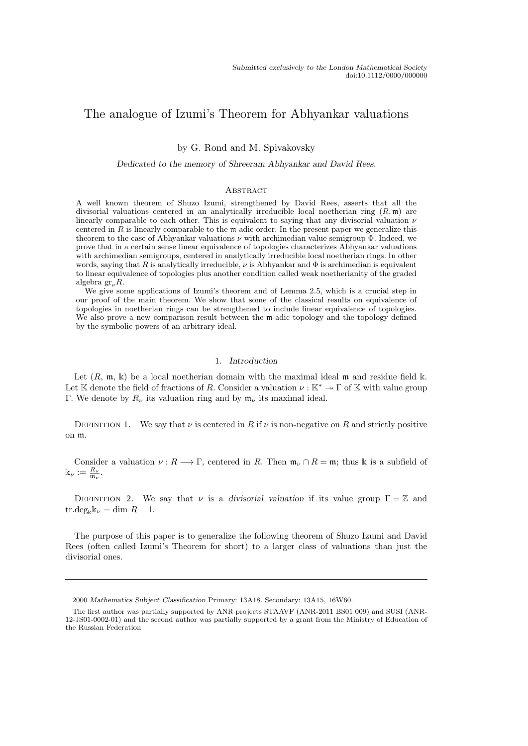# The analogue of Izumi's Theorem for Abhyankar valuations

by G. Rond and M. Spivakovsky

#### Dedicated to the memory of Shreeram Abhyankar and David Rees.

#### **ABSTRACT**

A well known theorem of Shuzo Izumi, strengthened by David Rees, asserts that all the divisorial valuations centered in an analytically irreducible local noetherian ring  $(R, \mathfrak{m})$  are linearly comparable to each other. This is equivalent to saying that any divisorial valuation  $\nu$ centered in  $\hat{R}$  is linearly comparable to the m-adic order. In the present paper we generalize this theorem to the case of Abhyankar valuations  $\nu$  with archimedian value semigroup  $\Phi$ . Indeed, we prove that in a certain sense linear equivalence of topologies characterizes Abhyankar valuations with archimedian semigroups, centered in analytically irreducible local noetherian rings. In other words, saying that R is analytically irreducible,  $\nu$  is Abhyankar and  $\Phi$  is archimedian is equivalent to linear equivalence of topologies plus another condition called weak noetherianity of the graded algebra  $gr_{\nu}R$ .

We give some applications of Izumi's theorem and of Lemma 2.5, which is a crucial step in our proof of the main theorem. We show that some of the classical results on equivalence of topologies in noetherian rings can be strengthened to include linear equivalence of topologies. We also prove a new comparison result between the m-adic topology and the topology defined by the symbolic powers of an arbitrary ideal.

## 1. Introduction

Let  $(R, \mathfrak{m}, \mathbb{k})$  be a local noetherian domain with the maximal ideal  $\mathfrak{m}$  and residue field  $\mathbb{k}$ . Let K denote the field of fractions of R. Consider a valuation  $\nu : \mathbb{K}^* \to \Gamma$  of K with value group Γ. We denote by  $R_{\nu}$  its valuation ring and by  $\mathfrak{m}_{\nu}$  its maximal ideal.

DEFINITION 1. We say that  $\nu$  is centered in R if  $\nu$  is non-negative on R and strictly positive on m.

Consider a valuation  $\nu : R \longrightarrow \Gamma$ , centered in R. Then  $\mathfrak{m}_{\nu} \cap R = \mathfrak{m}$ ; thus k is a subfield of  $\Bbbk_\nu:=\frac{R_\nu}{\mathfrak{m}_\nu}.$ 

DEFINITION 2. We say that  $\nu$  is a divisorial valuation if its value group  $\Gamma = \mathbb{Z}$  and  $\text{tr.deg}_{\kappa}\mathbb{k}_{\nu} = \dim R - 1.$ 

The purpose of this paper is to generalize the following theorem of Shuzo Izumi and David Rees (often called Izumi's Theorem for short) to a larger class of valuations than just the divisorial ones.

<sup>2000</sup> Mathematics Subject Classification Primary: 13A18. Secondary: 13A15, 16W60.

The first author was partially supported by ANR projects STAAVF (ANR-2011 BS01 009) and SUSI (ANR-12-JS01-0002-01) and the second author was partially supported by a grant from the Ministry of Education of the Russian Federation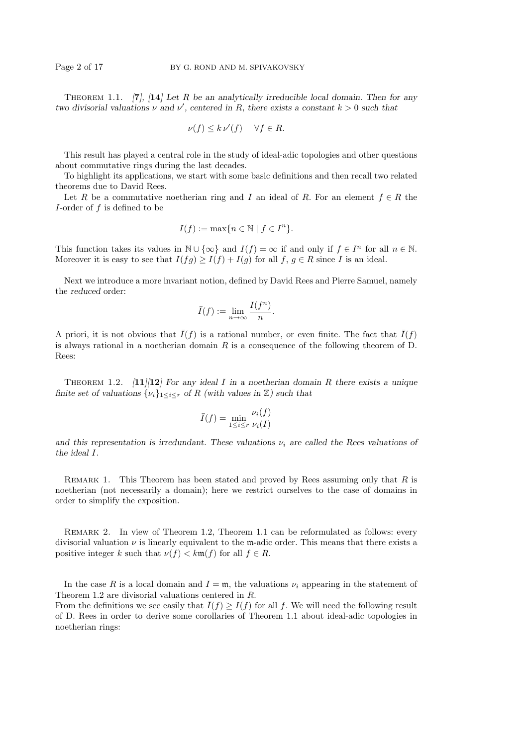THEOREM 1.1. [7], [14] Let R be an analytically irreducible local domain. Then for any two divisorial valuations  $\nu$  and  $\nu'$ , centered in R, there exists a constant  $k > 0$  such that

$$
\nu(f) \le k \nu'(f) \quad \forall f \in R.
$$

This result has played a central role in the study of ideal-adic topologies and other questions about commutative rings during the last decades.

To highlight its applications, we start with some basic definitions and then recall two related theorems due to David Rees.

Let R be a commutative noetherian ring and I an ideal of R. For an element  $f \in R$  the I-order of  $f$  is defined to be

$$
I(f) := \max\{n \in \mathbb{N} \mid f \in I^n\}.
$$

This function takes its values in  $\mathbb{N} \cup \{\infty\}$  and  $I(f) = \infty$  if and only if  $f \in I^n$  for all  $n \in \mathbb{N}$ . Moreover it is easy to see that  $I(fg) \geq I(f) + I(g)$  for all  $f, g \in R$  since I is an ideal.

Next we introduce a more invariant notion, defined by David Rees and Pierre Samuel, namely the reduced order:

$$
\bar{I}(f) := \lim_{n \to \infty} \frac{I(f^n)}{n}.
$$

A priori, it is not obvious that  $\bar{I}(f)$  is a rational number, or even finite. The fact that  $\bar{I}(f)$ is always rational in a noetherian domain R is a consequence of the following theorem of D. Rees:

THEOREM 1.2.  $[11]/[12]$  For any ideal I in a noetherian domain R there exists a unique finite set of valuations  $\{\nu_i\}_{1 \leq i \leq r}$  of R (with values in  $\mathbb{Z}$ ) such that

$$
\bar{I}(f) = \min_{1 \le i \le r} \frac{\nu_i(f)}{\nu_i(I)}
$$

and this representation is irredundant. These valuations  $\nu_i$  are called the Rees valuations of the ideal I.

REMARK 1. This Theorem has been stated and proved by Rees assuming only that  $R$  is noetherian (not necessarily a domain); here we restrict ourselves to the case of domains in order to simplify the exposition.

Remark 2. In view of Theorem 1.2, Theorem 1.1 can be reformulated as follows: every divisorial valuation  $\nu$  is linearly equivalent to the m-adic order. This means that there exists a positive integer k such that  $\nu(f) < k \mathfrak{m}(f)$  for all  $f \in R$ .

In the case R is a local domain and  $I = \mathfrak{m}$ , the valuations  $\nu_i$  appearing in the statement of Theorem 1.2 are divisorial valuations centered in R.

From the definitions we see easily that  $\overline{I}(f) \geq \overline{I}(f)$  for all f. We will need the following result of D. Rees in order to derive some corollaries of Theorem 1.1 about ideal-adic topologies in noetherian rings: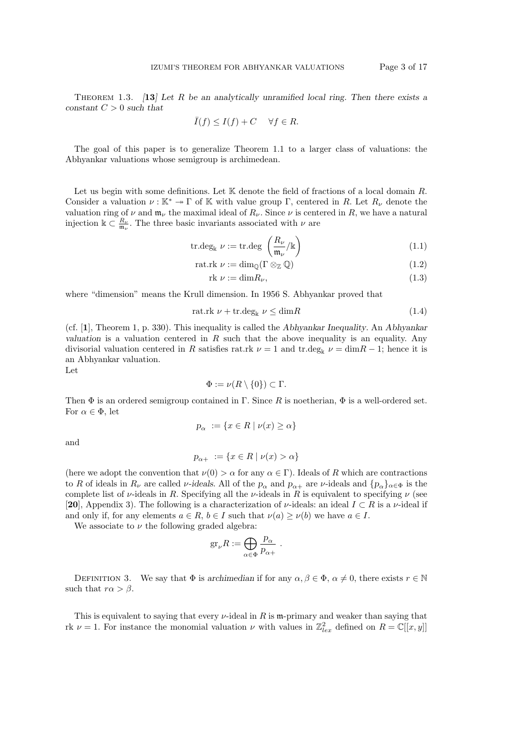THEOREM 1.3.  $\begin{bmatrix} 13 \end{bmatrix}$  Let R be an analytically unramified local ring. Then there exists a constant  $C > 0$  such that

$$
\bar{I}(f) \le I(f) + C \quad \forall f \in R.
$$

The goal of this paper is to generalize Theorem 1.1 to a larger class of valuations: the Abhyankar valuations whose semigroup is archimedean.

Let us begin with some definitions. Let  $\mathbb K$  denote the field of fractions of a local domain R. Consider a valuation  $\nu : \mathbb{K}^* \to \Gamma$  of K with value group  $\Gamma$ , centered in R. Let  $R_{\nu}$  denote the valuation ring of  $\nu$  and  $\mathfrak{m}_{\nu}$  the maximal ideal of  $R_{\nu}$ . Since  $\nu$  is centered in R, we have a natural injection  $\mathbb{k} \subset \frac{R_{\nu}}{\mathfrak{m}_{\nu}}$ . The three basic invariants associated with  $\nu$  are

$$
\operatorname{tr.deg}_{\Bbbk} \nu := \operatorname{tr.deg} \left( \frac{R_{\nu}}{\mathfrak{m}_{\nu}} \middle/ \Bbbk \right) \tag{1.1}
$$

$$
rat.rk \ \nu := \dim_{\mathbb{Q}}(\Gamma \otimes_{\mathbb{Z}} \mathbb{Q}) \tag{1.2}
$$

$$
rk \nu := \dim R_{\nu},\tag{1.3}
$$

where "dimension" means the Krull dimension. In 1956 S. Abhyankar proved that

$$
rat.rk \nu + tr.deg_{k} \nu \leq dimR
$$
\n(1.4)

(cf. [1], Theorem 1, p. 330). This inequality is called the Abhyankar Inequality. An Abhyankar valuation is a valuation centered in  $R$  such that the above inequality is an equality. Any divisorial valuation centered in R satisfies rat.rk  $\nu = 1$  and tr.deg<sub>k</sub>  $\nu = \dim R - 1$ ; hence it is an Abhyankar valuation.

Let

$$
\Phi := \nu(R \setminus \{0\}) \subset \Gamma.
$$

Then  $\Phi$  is an ordered semigroup contained in  $\Gamma$ . Since R is noetherian,  $\Phi$  is a well-ordered set. For  $\alpha \in \Phi$ , let

$$
p_\alpha := \{ x \in R \mid \nu(x) \ge \alpha \}
$$

and

$$
p_{\alpha+} := \{ x \in R \mid \nu(x) > \alpha \}
$$

(here we adopt the convention that  $\nu(0) > \alpha$  for any  $\alpha \in \Gamma$ ). Ideals of R which are contractions to R of ideals in  $R_\nu$  are called v-ideals. All of the  $p_\alpha$  and  $p_{\alpha+}$  are v-ideals and  $\{p_\alpha\}_{\alpha\in\Phi}$  is the complete list of  $\nu$ -ideals in R. Specifying all the  $\nu$ -ideals in R is equivalent to specifying  $\nu$  (see [20], Appendix 3). The following is a characterization of  $\nu$ -ideals: an ideal  $I \subset R$  is a  $\nu$ -ideal if and only if, for any elements  $a \in R$ ,  $b \in I$  such that  $\nu(a) \ge \nu(b)$  we have  $a \in I$ .

We associate to  $\nu$  the following graded algebra:

$$
\mathrm{gr}_{\nu}R:=\bigoplus_{\alpha\in\Phi}\frac{p_{\alpha}}{p_{\alpha+}}\ .
$$

DEFINITION 3. We say that  $\Phi$  is archimedian if for any  $\alpha, \beta \in \Phi$ ,  $\alpha \neq 0$ , there exists  $r \in \mathbb{N}$ such that  $r\alpha > \beta$ .

This is equivalent to saying that every  $\nu$ -ideal in R is m-primary and weaker than saying that rk  $\nu = 1$ . For instance the monomial valuation  $\nu$  with values in  $\mathbb{Z}_{lex}^2$  defined on  $R = \mathbb{C}[[x, y]]$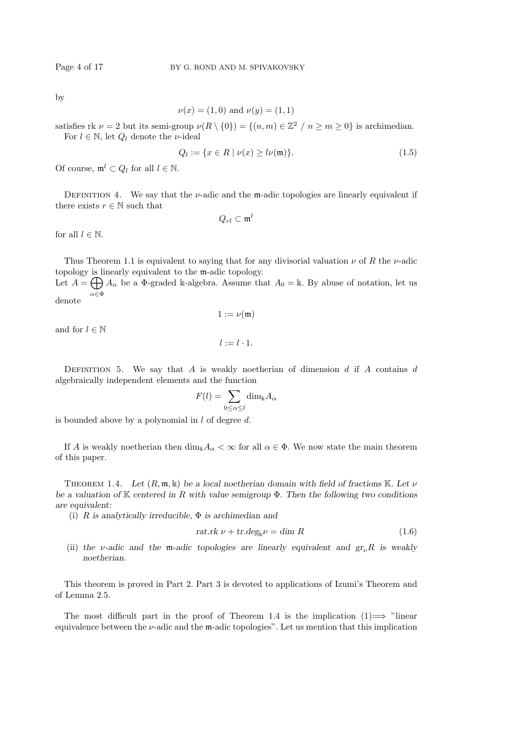by

$$
\nu(x) = (1,0)
$$
 and  $\nu(y) = (1,1)$ 

satisfies rk  $\nu = 2$  but its semi-group  $\nu(R \setminus \{0\}) = \{(n, m) \in \mathbb{Z}^2 \mid n \ge m \ge 0\}$  is archimedian. For  $l \in \mathbb{N}$ , let  $Q_l$  denote the *v*-ideal

$$
Q_l := \{ x \in R \mid \nu(x) \ge l\nu(\mathfrak{m}) \}. \tag{1.5}
$$

Of course,  $\mathfrak{m}^l \subset Q_l$  for all  $l \in \mathbb{N}$ .

DEFINITION 4. We say that the  $\nu$ -adic and the m-adic topologies are linearly equivalent if there exists  $r \in \mathbb{N}$  such that

$$
Q_{rl}\subset\mathfrak{m}^l
$$

for all  $l \in \mathbb{N}$ .

Thus Theorem 1.1 is equivalent to saying that for any divisorial valuation  $\nu$  of R the  $\nu$ -adic topology is linearly equivalent to the m-adic topology.

Let  $A = \bigoplus A_{\alpha}$  be a  $\Phi$ -graded k-algebra. Assume that  $A_0 = \mathbb{k}$ . By abuse of notation, let us  $\alpha \!\in\! \Phi$ denote

 $1 := \nu(\mathfrak{m})$ 

and for  $l \in \mathbb{N}$ 

$$
l:=l\cdot 1.
$$

DEFINITION 5. We say that A is weakly noetherian of dimension  $d$  if A contains  $d$ algebraically independent elements and the function

$$
F(l) = \sum_{0 \le \alpha \le l} \dim_{\mathbb{k}} A_{\alpha}
$$

is bounded above by a polynomial in  $l$  of degree  $d$ .

If A is weakly noetherian then  $\dim_{\mathbb{k}} A_\alpha < \infty$  for all  $\alpha \in \Phi$ . We now state the main theorem of this paper.

THEOREM 1.4. Let  $(R, \mathfrak{m}, \mathbb{k})$  be a local noetherian domain with field of fractions K. Let  $\nu$ be a valuation of K centered in R with value semigroup  $\Phi$ . Then the following two conditions are equivalent:

(i) R is analytically irreducible,  $\Phi$  is archimedian and

$$
rat.rk \nu + tr.deg_{k}\nu = \dim R \qquad (1.6)
$$

(ii) the v-adic and the m-adic topologies are linearly equivalent and  $gr_{\nu}R$  is weakly noetherian.

This theorem is proved in Part 2. Part 3 is devoted to applications of Izumi's Theorem and of Lemma 2.5.

The most difficult part in the proof of Theorem 1.4 is the implication  $(1) \rightarrow$  "linear" equivalence between the  $\nu$ -adic and the m-adic topologies". Let us mention that this implication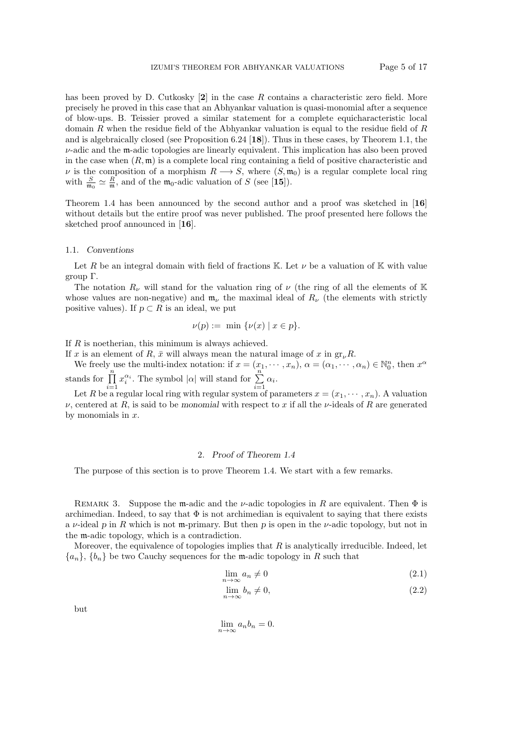has been proved by D. Cutkosky  $[2]$  in the case R contains a characteristic zero field. More precisely he proved in this case that an Abhyankar valuation is quasi-monomial after a sequence of blow-ups. B. Teissier proved a similar statement for a complete equicharacteristic local domain R when the residue field of the Abhyankar valuation is equal to the residue field of R and is algebraically closed (see Proposition 6.24 [18]). Thus in these cases, by Theorem 1.1, the  $\nu$ -adic and the m-adic topologies are linearly equivalent. This implication has also been proved in the case when  $(R, \mathfrak{m})$  is a complete local ring containing a field of positive characteristic and v is the composition of a morphism  $R \longrightarrow S$ , where  $(S, \mathfrak{m}_0)$  is a regular complete local ring with  $\frac{S}{m_0} \simeq \frac{R}{m}$ , and of the  $m_0$ -adic valuation of S (see [15]).

Theorem 1.4 has been announced by the second author and a proof was sketched in [16] without details but the entire proof was never published. The proof presented here follows the sketched proof announced in [16].

#### 1.1. Conventions

Let R be an integral domain with field of fractions K. Let  $\nu$  be a valuation of K with value group Γ.

The notation  $R_{\nu}$  will stand for the valuation ring of  $\nu$  (the ring of all the elements of K whose values are non-negative) and  $\mathfrak{m}_{\nu}$  the maximal ideal of  $R_{\nu}$  (the elements with strictly positive values). If  $p \subset R$  is an ideal, we put

$$
\nu(p) := \min \{ \nu(x) \mid x \in p \}.
$$

If R is noetherian, this minimum is always achieved.

If x is an element of R,  $\bar{x}$  will always mean the natural image of x in gr<sub>n</sub>R.

We freely use the multi-index notation: if  $x = (x_1, \dots, x_n)$ ,  $\alpha = (\alpha_1, \dots, \alpha_n) \in \mathbb{N}_0^n$ , then  $x^{\alpha}$ stands for  $\prod_{n=1}^{\infty}$  $x_i^{\alpha_i}$ . The symbol  $|\alpha|$  will stand for  $\sum_{i=1}^{n}$  $\sum_{i=1}^{\infty} \alpha_i$ .

 $i=1$ Let R be a regular local ring with regular system of parameters  $x = (x_1, \dots, x_n)$ . A valuation  $\nu$ , centered at R, is said to be monomial with respect to x if all the  $\nu$ -ideals of R are generated by monomials in  $x$ .

### 2. Proof of Theorem 1.4

The purpose of this section is to prove Theorem 1.4. We start with a few remarks.

REMARK 3. Suppose the m-adic and the *v*-adic topologies in R are equivalent. Then  $\Phi$  is archimedian. Indeed, to say that  $\Phi$  is not archimedian is equivalent to saying that there exists a  $\nu$ -ideal p in R which is not m-primary. But then p is open in the  $\nu$ -adic topology, but not in the m-adic topology, which is a contradiction.

Moreover, the equivalence of topologies implies that  $R$  is analytically irreducible. Indeed, let  ${a_n}$ ,  ${b_n}$  be two Cauchy sequences for the m-adic topology in R such that

$$
\lim_{n \to \infty} a_n \neq 0 \tag{2.1}
$$

$$
\lim_{n \to \infty} b_n \neq 0,\tag{2.2}
$$

but

$$
\lim_{n \to \infty} a_n b_n = 0.
$$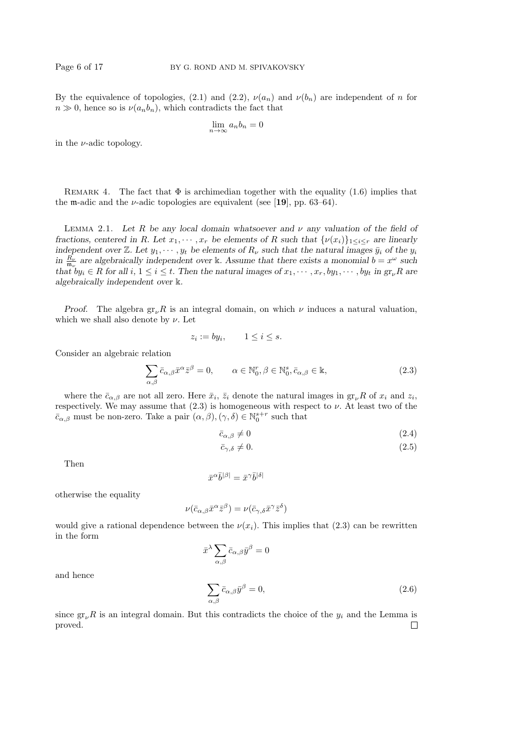By the equivalence of topologies, (2.1) and (2.2),  $\nu(a_n)$  and  $\nu(b_n)$  are independent of n for  $n \gg 0$ , hence so is  $\nu(a_n b_n)$ , which contradicts the fact that

$$
\lim_{n \to \infty} a_n b_n = 0
$$

in the  $\nu$ -adic topology.

REMARK 4. The fact that  $\Phi$  is archimedian together with the equality (1.6) implies that the m-adic and the  $\nu$ -adic topologies are equivalent (see [19], pp. 63–64).

LEMMA 2.1. Let R be any local domain whatsoever and  $\nu$  any valuation of the field of fractions, centered in R. Let  $x_1, \dots, x_r$  be elements of R such that  $\{\nu(x_i)\}_{1 \leq i \leq r}$  are linearly independent over Z. Let  $y_1, \dots, y_t$  be elements of  $R_\nu$  such that the natural images  $\bar{y}_i$  of the  $y_i$ in  $\frac{R_{\nu}}{\mathfrak{m}_{\nu}}$  are algebraically independent over k. Assume that there exists a monomial  $b = x^{\omega}$  such that  $by_i \in R$  for all  $i, 1 \le i \le t$ . Then the natural images of  $x_1, \dots, x_r, by_1, \dots, by_t$  in  $gr_\nu R$  are algebraically independent over k.

Proof. The algebra  $gr_{\nu}R$  is an integral domain, on which  $\nu$  induces a natural valuation, which we shall also denote by  $\nu$ . Let

$$
z_i := by_i, \qquad 1 \le i \le s.
$$

Consider an algebraic relation

$$
\sum_{\alpha,\beta} \bar{c}_{\alpha,\beta} \bar{x}^{\alpha} \bar{z}^{\beta} = 0, \qquad \alpha \in \mathbb{N}_{0}^{r}, \beta \in \mathbb{N}_{0}^{s}, \bar{c}_{\alpha,\beta} \in \mathbb{k}, \tag{2.3}
$$

where the  $\bar{c}_{\alpha,\beta}$  are not all zero. Here  $\bar{x}_i$ ,  $\bar{z}_i$  denote the natural images in  $gr_{\nu}R$  of  $x_i$  and  $z_i$ , respectively. We may assume that  $(2.3)$  is homogeneous with respect to  $\nu$ . At least two of the  $\bar{c}_{\alpha,\beta}$  must be non-zero. Take a pair  $(\alpha,\beta),(\gamma,\delta)\in\mathbb{N}_0^{s+r}$  such that

$$
\bar{c}_{\alpha,\beta} \neq 0 \tag{2.4}
$$

$$
\bar{c}_{\gamma,\delta} \neq 0. \tag{2.5}
$$

Then

$$
\bar{x}^{\alpha}\bar{b}^{|\beta|} = \bar{x}^{\gamma}\bar{b}^{|\delta|}
$$

otherwise the equality

$$
\nu(\bar{c}_{\alpha,\beta}\bar{x}^{\alpha}\bar{z}^{\beta}) = \nu(\bar{c}_{\gamma,\delta}\bar{x}^{\gamma}\bar{z}^{\delta})
$$

would give a rational dependence between the  $\nu(x_i)$ . This implies that (2.3) can be rewritten in the form

$$
\bar x^\lambda \sum_{\alpha,\beta} \bar c_{\alpha,\beta} \bar y^\beta = 0
$$

and hence

$$
\sum_{\alpha,\beta} \bar{c}_{\alpha,\beta} \bar{y}^{\beta} = 0, \qquad (2.6)
$$

since  $gr_{\nu}R$  is an integral domain. But this contradicts the choice of the  $y_i$  and the Lemma is proved. $\Box$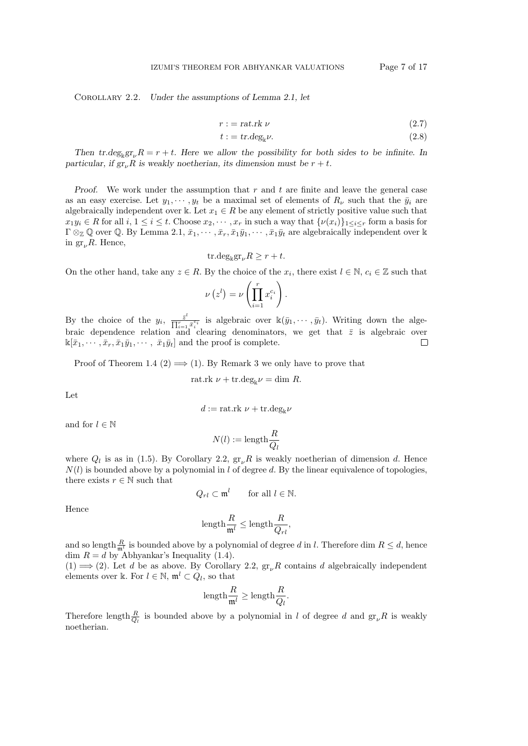Corollary 2.2. Under the assumptions of Lemma 2.1, let

$$
r := \text{rat.rk } \nu \tag{2.7}
$$

$$
t := tr.deg_{\mathbb{k}}\nu.
$$
 (2.8)

Then tr.deg<sub>k</sub>gr<sub>y</sub> $R = r + t$ . Here we allow the possibility for both sides to be infinite. In particular, if gr<sub>y</sub>R is weakly noetherian, its dimension must be  $r + t$ .

*Proof.* We work under the assumption that  $r$  and  $t$  are finite and leave the general case as an easy exercise. Let  $y_1, \dots, y_t$  be a maximal set of elements of  $R_\nu$  such that the  $\bar{y}_i$  are algebraically independent over k. Let  $x_1 \in R$  be any element of strictly positive value such that  $x_1y_i \in R$  for all  $i, 1 \leq i \leq t$ . Choose  $x_2, \dots, x_r$  in such a way that  $\{\nu(x_i)\}_{1 \leq i \leq r}$  form a basis for  $\Gamma \otimes_{\mathbb{Z}} \mathbb{Q}$  over  $\mathbb{Q}$ . By Lemma 2.1,  $\bar{x}_1, \dots, \bar{x}_r, \bar{x}_1\bar{y}_1, \dots, \bar{x}_1\bar{y}_t$  are algebraically independent over k in  $gr_{\nu}R$ . Hence,

$$
\mathrm{tr.deg}_{\Bbbk}\mathrm{gr}_{\nu}R\geq r+t.
$$

On the other hand, take any  $z \in R$ . By the choice of the  $x_i$ , there exist  $l \in \mathbb{N}$ ,  $c_i \in \mathbb{Z}$  such that

$$
\nu(z^l) = \nu \left( \prod_{i=1}^r x_i^{c_i} \right).
$$

By the choice of the  $y_i$ ,  $\frac{\bar{z}^l}{\prod r}$  $\frac{\bar{z}^i}{\prod_{i=1}^r \bar{x}_i^{c_i}}$  is algebraic over  $\mathbb{k}(\bar{y}_1, \dots, \bar{y}_t)$ . Writing down the algebraic dependence relation and clearing denominators, we get that  $\bar{z}$  is algebraic over  $\mathbb{k}[\bar{x}_1, \cdots, \bar{x}_r, \bar{x}_1\bar{y}_1, \cdots, \bar{x}_1\bar{y}_t]$  and the proof is complete.  $\Box$ 

Proof of Theorem 1.4 (2)  $\implies$  (1). By Remark 3 we only have to prove that

rat.rk 
$$
\nu
$$
 + tr.deg<sub>k</sub> $\nu$  = dim R.

Let

$$
d := \text{rat.rk } \nu + \text{tr.deg}_{\Bbbk} \nu
$$

and for  $l \in \mathbb{N}$ 

$$
N(l) := \text{length} \frac{R}{Q_l}
$$

where  $Q_l$  is as in (1.5). By Corollary 2.2,  $gr_{\nu}R$  is weakly noetherian of dimension d. Hence  $N(l)$  is bounded above by a polynomial in l of degree d. By the linear equivalence of topologies, there exists  $r \in \mathbb{N}$  such that

$$
Q_{rl} \subset \mathfrak{m}^l \qquad \text{for all } l \in \mathbb{N}.
$$

Hence

$$
\text{length}\frac{R}{\mathfrak{m}^l}\leq\text{length}\frac{R}{Q_{rl}},
$$

and so length  $\frac{R}{m^l}$  is bounded above by a polynomial of degree d in l. Therefore dim  $R \leq d$ , hence dim  $R = d$  by Abhyankar's Inequality (1.4).

(1)  $\implies$  (2). Let d be as above. By Corollary 2.2,  $gr_{\nu}R$  contains d algebraically independent elements over k. For  $l \in \mathbb{N}$ ,  $\mathfrak{m}^l \subset Q_l$ , so that

$$
\text{length}\frac{R}{\mathfrak{m}^l}\geq \text{length}\frac{R}{Q_l}.
$$

Therefore length  $\frac{R}{Q_l}$  is bounded above by a polynomial in l of degree d and  $gr_{\nu}R$  is weakly noetherian.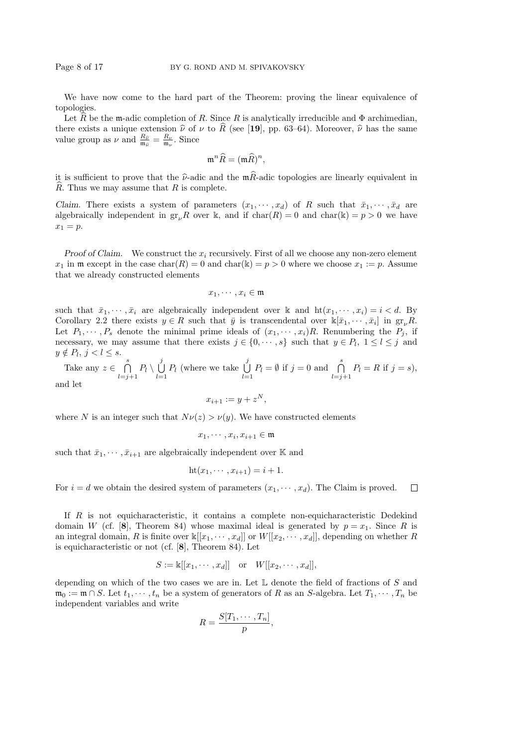We have now come to the hard part of the Theorem: proving the linear equivalence of topologies.

Let R be the m-adic completion of R. Since R is analytically irreducible and  $\Phi$  archimedian, there exists a unique extension  $\hat{\nu}$  of  $\nu$  to  $\hat{R}$  (see [19], pp. 63–64). Moreover,  $\hat{\nu}$  has the same value group as  $\nu$  and  $\frac{R_{\hat{\nu}}}{m_{\hat{\nu}}} = \frac{R_{\nu}}{m_{\nu}}$ . Since

$$
\mathfrak{m}^n\widehat{R}=(\mathfrak{m}\widehat{R})^n,
$$

it is sufficient to prove that the  $\hat{\nu}$ -adic and the m $\hat{R}$ -adic topologies are linearly equivalent in  $R$ . Thus we may assume that  $R$  is complete.

Claim. There exists a system of parameters  $(x_1, \dots, x_d)$  of R such that  $\bar{x}_1, \dots, \bar{x}_d$  are algebraically independent in  $gr_{\nu}R$  over k, and if  $char(R) = 0$  and  $char(k) = p > 0$  we have  $x_1 = p$ .

Proof of Claim. We construct the  $x_i$  recursively. First of all we choose any non-zero element  $x_1$  in m except in the case char(R) = 0 and char(k) =  $p > 0$  where we choose  $x_1 := p$ . Assume that we already constructed elements

$$
x_1, \cdots, x_i \in \mathfrak{m}
$$

such that  $\bar{x}_1, \dots, \bar{x}_i$  are algebraically independent over k and  $\mathrm{ht}(x_1, \dots, x_i) = i < d$ . By Corollary 2.2 there exists  $y \in R$  such that  $\bar{y}$  is transcendental over  $\mathbb{k}[\bar{x}_1, \cdots, \bar{x}_i]$  in  $gr_{\nu}R$ . Let  $P_1, \dots, P_s$  denote the minimal prime ideals of  $(x_1, \dots, x_i)R$ . Renumbering the  $P_j$ , if necessary, we may assume that there exists  $j \in \{0, \dots, s\}$  such that  $y \in P_l$ ,  $1 \leq l \leq j$  and  $y \notin P_l$ ,  $j < l \leq s$ .

Take any  $z \in \bigcap^s$  $\bigcap_{l=j+1}^{s} P_l \setminus \bigcup_{l=1}^{j}$  $\bigcup_{l=1}^j P_l$  (where we take  $\bigcup_{l=1}^j$  $\bigcup_{l=1}^{j} P_l = \emptyset$  if  $j = 0$  and  $\bigcap_{l=j+1}^{s} P_l = R$  if  $j = s$ ), and let

$$
x_{i+1} := y + z^N,
$$

where N is an integer such that  $N\nu(z) > \nu(y)$ . We have constructed elements

$$
x_1,\cdots,x_i,x_{i+1}\in\mathfrak{m}
$$

such that  $\bar{x}_1, \dots, \bar{x}_{i+1}$  are algebraically independent over K and

$$
ht(x_1,\cdots,x_{i+1})=i+1.
$$

For  $i = d$  we obtain the desired system of parameters  $(x_1, \dots, x_d)$ . The Claim is proved.  $\Box$ 

If R is not equicharacteristic, it contains a complete non-equicharacteristic Dedekind domain W (cf. [8], Theorem 84) whose maximal ideal is generated by  $p = x_1$ . Since R is an integral domain, R is finite over  $\mathbb{K}[[x_1, \dots, x_d]]$  or  $W[[x_2, \dots, x_d]]$ , depending on whether R is equicharacteristic or not (cf. [8], Theorem 84). Let

$$
S := \mathbb{k}[[x_1, \cdots, x_d]] \quad \text{or} \quad W[[x_2, \cdots, x_d]],
$$

depending on which of the two cases we are in. Let  $\mathbb L$  denote the field of fractions of S and  $\mathfrak{m}_0 := \mathfrak{m} \cap S$ . Let  $t_1, \dots, t_n$  be a system of generators of R as an S-algebra. Let  $T_1, \dots, T_n$  be independent variables and write

$$
R = \frac{S[T_1, \cdots, T_n]}{p},
$$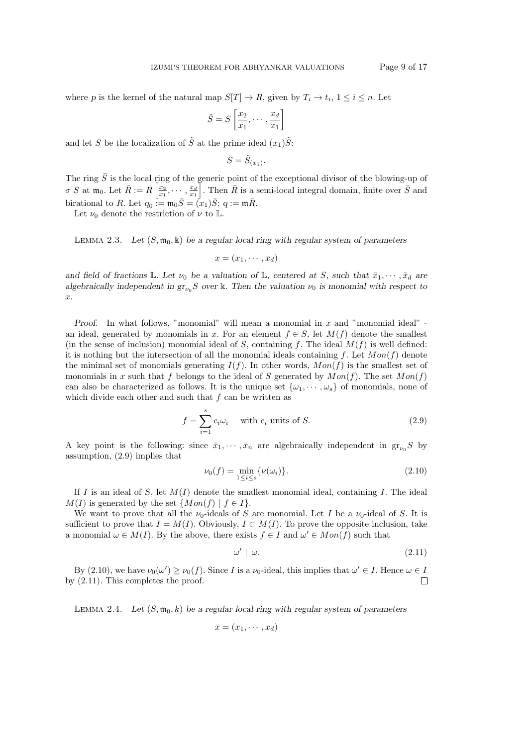where p is the kernel of the natural map  $S[T] \to R$ , given by  $T_i \to t_i$ ,  $1 \leq i \leq n$ . Let

$$
\tilde{S} = S\left[\frac{x_2}{x_1}, \cdots, \frac{x_d}{x_1}\right]
$$

and let  $\bar{S}$  be the localization of  $\tilde{S}$  at the prime ideal  $(x_1)\tilde{S}$ :

$$
\bar{S} = \tilde{S}_{(x_1)}.
$$

The ring  $\bar{S}$  is the local ring of the generic point of the exceptional divisor of the blowing-up of  $\sigma S$  at  $\mathfrak{m}_0$ . Let  $\bar{R} := R\left[\frac{x_2}{x_1}, \cdots, \frac{x_d}{x_1}\right]$ . Then  $\bar{R}$  is a semi-local integral domain, finite over  $\bar{S}$  and birational to R. Let  $q_0 := \mathfrak{m}_0 \overline{S} = (x_1)\overline{S}; q := \mathfrak{m}\overline{R}.$ 

Let  $\nu_0$  denote the restriction of  $\nu$  to L.

LEMMA 2.3. Let  $(S, \mathfrak{m}_0, \mathbb{k})$  be a regular local ring with regular system of parameters

 $x=(x_1,\cdots,x_d)$ 

and field of fractions L. Let  $\nu_0$  be a valuation of L, centered at S, such that  $\bar{x}_1, \dots, \bar{x}_d$  are algebraically independent in  $gr_{\nu_0}S$  over k. Then the valuation  $\nu_0$  is monomial with respect to x.

*Proof.* In what follows, "monomial" will mean a monomial in  $x$  and "monomial ideal" an ideal, generated by monomials in x. For an element  $f \in S$ , let  $M(f)$  denote the smallest (in the sense of inclusion) monomial ideal of S, containing f. The ideal  $M(f)$  is well defined: it is nothing but the intersection of all the monomial ideals containing f. Let  $Mon(f)$  denote the minimal set of monomials generating  $I(f)$ . In other words,  $Mon(f)$  is the smallest set of monomials in x such that f belongs to the ideal of S generated by  $Mon(f)$ . The set  $Mon(f)$ can also be characterized as follows. It is the unique set  $\{\omega_1, \dots, \omega_s\}$  of monomials, none of which divide each other and such that  $f$  can be written as

$$
f = \sum_{i=1}^{s} c_i \omega_i \quad \text{with } c_i \text{ units of } S. \tag{2.9}
$$

A key point is the following: since  $\bar{x}_1, \dots, \bar{x}_n$  are algebraically independent in  $gr_{\nu_0}S$  by assumption, (2.9) implies that

$$
\nu_0(f) = \min_{1 \le i \le s} {\{\nu(\omega_i)\}}.
$$
\n(2.10)

If I is an ideal of S, let  $M(I)$  denote the smallest monomial ideal, containing I. The ideal  $M(I)$  is generated by the set  $\{Mon(f) | f \in I\}.$ 

We want to prove that all the  $\nu_0$ -ideals of S are monomial. Let I be a  $\nu_0$ -ideal of S. It is sufficient to prove that  $I = M(I)$ . Obviously,  $I \subset M(I)$ . To prove the opposite inclusion, take a monomial  $\omega \in M(I)$ . By the above, there exists  $f \in I$  and  $\omega' \in Mon(f)$  such that

$$
\omega' \mid \omega. \tag{2.11}
$$

By (2.10), we have  $\nu_0(\omega') \ge \nu_0(f)$ . Since I is a  $\nu_0$ -ideal, this implies that  $\omega' \in I$ . Hence  $\omega \in I$ by (2.11). This completes the proof.  $\Box$ 

LEMMA 2.4. Let  $(S, \mathfrak{m}_0, k)$  be a regular local ring with regular system of parameters

$$
x=(x_1,\cdots,x_d)
$$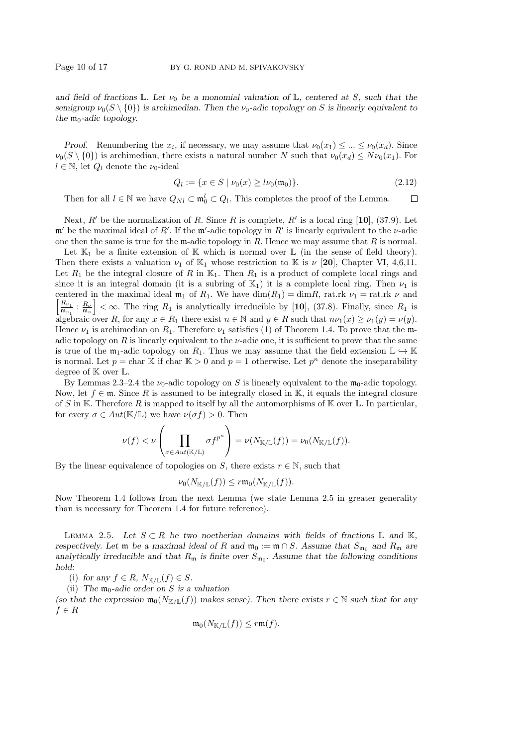and field of fractions  $\mathbb{L}$ . Let  $\nu_0$  be a monomial valuation of  $\mathbb{L}$ , centered at S, such that the semigroup  $\nu_0(S \setminus \{0\})$  is archimedian. Then the  $\nu_0$ -adic topology on S is linearly equivalent to the  $m_0$ -adic topology.

Proof. Renumbering the  $x_i$ , if necessary, we may assume that  $\nu_0(x_1) \leq ... \leq \nu_0(x_d)$ . Since  $\nu_0(S \setminus \{0\})$  is archimedian, there exists a natural number N such that  $\nu_0(x_d) \leq N\nu_0(x_1)$ . For  $l \in \mathbb{N}$ , let  $Q_l$  denote the  $\nu_0$ -ideal

$$
Q_l := \{ x \in S \mid \nu_0(x) \ge l\nu_0(\mathfrak{m}_0) \}. \tag{2.12}
$$

Then for all  $l \in \mathbb{N}$  we have  $Q_{Nl} \subset \mathfrak{m}_0^l \subset Q_l$ . This completes the proof of the Lemma.  $\Box$ 

Next, R' be the normalization of R. Since R is complete, R' is a local ring [10], (37.9). Let m' be the maximal ideal of R'. If the m'-adic topology in R' is linearly equivalent to the  $\nu$ -adic one then the same is true for the  $m$ -adic topology in  $R$ . Hence we may assume that  $R$  is normal.

Let  $\mathbb{K}_1$  be a finite extension of  $\mathbb K$  which is normal over  $\mathbb L$  (in the sense of field theory). Then there exists a valuation  $\nu_1$  of  $\mathbb{K}_1$  whose restriction to  $\mathbb{K}$  is  $\nu$  [20], Chapter VI, 4,6,11. Let  $R_1$  be the integral closure of R in  $\mathbb{K}_1$ . Then  $R_1$  is a product of complete local rings and since it is an integral domain (it is a subring of  $\mathbb{K}_1$ ) it is a complete local ring. Then  $\nu_1$  is centered in the maximal ideal  $\mathfrak{m}_1$  of  $R_1$ . We have  $\dim(R_1) = \dim R$ , rat.rk  $\nu_1 = \text{rat.rk } \nu$  and  $R_{\nu_1}$  $\frac{R_{\nu_1}}{\mathfrak{m}_{\nu_1}}$ :  $\frac{R_{\nu}}{\mathfrak{m}_{\nu}}$  <  $\infty$ . The ring  $R_1$  is analytically irreducible by [10], (37.8). Finally, since  $R_1$  is algebraic over R, for any  $x \in R_1$  there exist  $n \in \mathbb{N}$  and  $y \in R$  such that  $n\nu_1(x) \geq \nu_1(y) = \nu(y)$ . Hence  $\nu_1$  is archimedian on  $R_1$ . Therefore  $\nu_1$  satisfies (1) of Theorem 1.4. To prove that the madic topology on R is linearly equivalent to the  $\nu$ -adic one, it is sufficient to prove that the same is true of the  $\mathfrak{m}_1$ -adic topology on  $R_1$ . Thus we may assume that the field extension  $\mathbb{L} \hookrightarrow \mathbb{K}$ is normal. Let  $p = \text{char } \mathbb{K}$  if  $\text{char } \mathbb{K} > 0$  and  $p = 1$  otherwise. Let  $p^n$  denote the inseparability degree of  $\mathbb K$  over  $\mathbb L$ .

By Lemmas 2.3–2.4 the  $\nu_0$ -adic topology on S is linearly equivalent to the  $m_0$ -adic topology. Now, let  $f \in \mathfrak{m}$ . Since R is assumed to be integrally closed in K, it equals the integral closure of S in K. Therefore R is mapped to itself by all the automorphisms of K over L. In particular, for every  $\sigma \in Aut(\mathbb{K}/\mathbb{L})$  we have  $\nu(\sigma f) > 0$ . Then

$$
\nu(f) < \nu\left(\prod_{\sigma \in Aut(\mathbb{K}/\mathbb{L})} \sigma f^{p^n}\right) = \nu(N_{\mathbb{K}/\mathbb{L}}(f)) = \nu_0(N_{\mathbb{K}/\mathbb{L}}(f)).
$$

By the linear equivalence of topologies on S, there exists  $r \in \mathbb{N}$ , such that

$$
\nu_0(N_{\mathbb{K}/\mathbb{L}}(f)) \leq r \mathfrak{m}_0(N_{\mathbb{K}/\mathbb{L}}(f)).
$$

Now Theorem 1.4 follows from the next Lemma (we state Lemma 2.5 in greater generality than is necessary for Theorem 1.4 for future reference).

LEMMA 2.5. Let  $S \subset R$  be two noetherian domains with fields of fractions  $\mathbb L$  and  $\mathbb K$ , respectively. Let  $\mathfrak m$  be a maximal ideal of R and  $\mathfrak m_0 := \mathfrak m \cap S$ . Assume that  $S_{\mathfrak m_0}$  and  $R_{\mathfrak m}$  are analytically irreducible and that  $R_{\mathfrak{m}}$  is finite over  $S_{\mathfrak{m}_0}$ . Assume that the following conditions hold:

(i) for any  $f \in R$ ,  $N_{\mathbb{K}/\mathbb{L}}(f) \in S$ .

(ii) The  $m_0$ -adic order on S is a valuation

(so that the expression  $\mathfrak{m}_0(N_{\mathbb{K}/\mathbb{L}}(f))$  makes sense). Then there exists  $r \in \mathbb{N}$  such that for any  $f \in R$ 

$$
\mathfrak{m}_0(N_{\mathbb{K}/\mathbb{L}}(f)) \le r\mathfrak{m}(f).
$$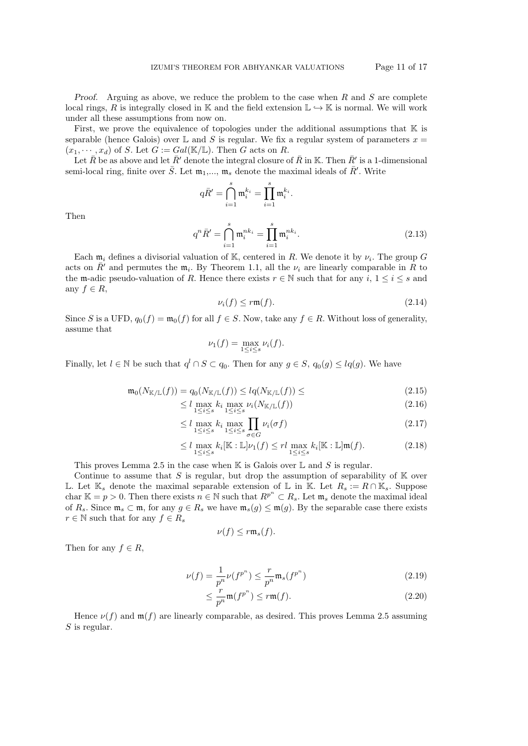First, we prove the equivalence of topologies under the additional assumptions that  $\mathbb K$  is separable (hence Galois) over  $\mathbb L$  and S is regular. We fix a regular system of parameters  $x =$  $(x_1, \dots, x_d)$  of S. Let  $G := Gal(\mathbb{K}/\mathbb{L})$ . Then G acts on R.

Let  $\bar{R}$  be as above and let  $\bar{R}'$  denote the integral closure of  $\bar{R}$  in K. Then  $\bar{R}'$  is a 1-dimensional semi-local ring, finite over  $\bar{S}$ . Let  $\mathfrak{m}_1, \ldots, \mathfrak{m}_s$  denote the maximal ideals of  $\bar{R}'$ . Write

$$
q\bar{R}' = \bigcap_{i=1}^s \mathfrak{m}_i^{k_i} = \prod_{i=1}^s \mathfrak{m}_i^{k_i}.
$$

Then

$$
q^{n}\bar{R}' = \bigcap_{i=1}^{s} \mathfrak{m}_{i}^{nk_{i}} = \prod_{i=1}^{s} \mathfrak{m}_{i}^{nk_{i}}.
$$
\n(2.13)

Each  $\mathfrak{m}_i$  defines a divisorial valuation of K, centered in R. We denote it by  $\nu_i$ . The group G acts on  $\bar{R}'$  and permutes the  $\mathfrak{m}_i$ . By Theorem 1.1, all the  $\nu_i$  are linearly comparable in  $\bar{R}$  to the m-adic pseudo-valuation of R. Hence there exists  $r \in \mathbb{N}$  such that for any i,  $1 \le i \le s$  and any  $f \in R$ ,

$$
\nu_i(f) \le r\mathfrak{m}(f). \tag{2.14}
$$

Since S is a UFD,  $q_0(f) = \mathfrak{m}_0(f)$  for all  $f \in S$ . Now, take any  $f \in R$ . Without loss of generality, assume that

$$
\nu_1(f) = \max_{1 \le i \le s} \nu_i(f).
$$

Finally, let  $l \in \mathbb{N}$  be such that  $q^l \cap S \subset q_0$ . Then for any  $g \in S$ ,  $q_0(g) \le lq(g)$ . We have

$$
\mathfrak{m}_0(N_{\mathbb{K}/\mathbb{L}}(f)) = q_0(N_{\mathbb{K}/\mathbb{L}}(f)) \le l q(N_{\mathbb{K}/\mathbb{L}}(f)) \le (2.15)
$$

$$
\leq l \max_{1 \leq i \leq s} k_i \max_{1 \leq i \leq s} \nu_i(N_{\mathbb{K}/\mathbb{L}}(f)) \tag{2.16}
$$

$$
\leq l \max_{1 \leq i \leq s} k_i \max_{1 \leq i \leq s} \prod_{\sigma \in G} \nu_i(\sigma f) \tag{2.17}
$$

$$
\leq l \max_{1 \leq i \leq s} k_i [\mathbb{K} : \mathbb{L}] \nu_1(f) \leq r l \max_{1 \leq i \leq s} k_i [\mathbb{K} : \mathbb{L}] \mathfrak{m}(f). \tag{2.18}
$$

This proves Lemma 2.5 in the case when  $\mathbb K$  is Galois over  $\mathbb L$  and  $S$  is regular.

Continue to assume that S is regular, but drop the assumption of separability of  $K$  over L. Let K<sub>s</sub> denote the maximal separable extension of L in K. Let  $R_s := R \cap K_s$ . Suppose char  $\mathbb{K} = p > 0$ . Then there exists  $n \in \mathbb{N}$  such that  $R^{p^n} \subset R_s$ . Let  $\mathfrak{m}_s$  denote the maximal ideal of  $R_s$ . Since  $\mathfrak{m}_s \subset \mathfrak{m}$ , for any  $g \in R_s$  we have  $\mathfrak{m}_s(g) \leq \mathfrak{m}(g)$ . By the separable case there exists  $r \in \mathbb{N}$  such that for any  $f \in R_s$ 

$$
\nu(f) \le r \mathfrak{m}_s(f).
$$

Then for any  $f \in R$ ,

$$
\nu(f) = \frac{1}{p^n} \nu(f^{p^n}) \le \frac{r}{p^n} \mathfrak{m}_s(f^{p^n})
$$
\n(2.19)

$$
\leq \frac{r}{p^n} \mathfrak{m}(f^{p^n}) \leq r \mathfrak{m}(f). \tag{2.20}
$$

Hence  $\nu(f)$  and  $\mathfrak{m}(f)$  are linearly comparable, as desired. This proves Lemma 2.5 assuming  $S$  is regular.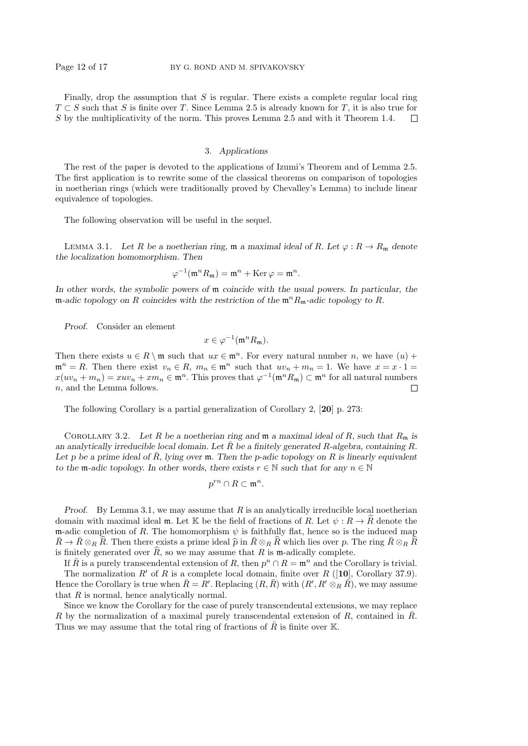Finally, drop the assumption that  $S$  is regular. There exists a complete regular local ring  $T \subset S$  such that S is finite over T. Since Lemma 2.5 is already known for T, it is also true for S by the multiplicativity of the norm. This proves Lemma 2.5 and with it Theorem 1.4.  $\Box$ 

## 3. Applications

The rest of the paper is devoted to the applications of Izumi's Theorem and of Lemma 2.5. The first application is to rewrite some of the classical theorems on comparison of topologies in noetherian rings (which were traditionally proved by Chevalley's Lemma) to include linear equivalence of topologies.

The following observation will be useful in the sequel.

LEMMA 3.1. Let R be a noetherian ring, m a maximal ideal of R. Let  $\varphi : R \to R_m$  denote the localization homomorphism. Then

$$
\varphi^{-1}(\mathfrak{m}^n R_{\mathfrak{m}}) = \mathfrak{m}^n + \operatorname{Ker} \varphi = \mathfrak{m}^n.
$$

In other words, the symbolic powers of m coincide with the usual powers. In particular, the m-adic topology on R coincides with the restriction of the  $\mathfrak{m}^n R_{\mathfrak{m}}$ -adic topology to R.

Proof. Consider an element

$$
x\in\varphi^{-1}(\mathfrak{m}^nR_{\mathfrak{m}}).
$$

Then there exists  $u \in R \setminus \mathfrak{m}$  such that  $ux \in \mathfrak{m}^n$ . For every natural number n, we have  $(u)$  +  $\mathfrak{m}^n = R$ . Then there exist  $v_n \in R$ ,  $m_n \in \mathfrak{m}^n$  such that  $uv_n + m_n = 1$ . We have  $x = x \cdot 1 =$  $x(uv_n + m_n) = xuv_n + xm_n \in \mathfrak{m}^n$ . This proves that  $\varphi^{-1}(\mathfrak{m}^n R_{\mathfrak{m}}) \subset \mathfrak{m}^n$  for all natural numbers n, and the Lemma follows.  $\Box$ 

The following Corollary is a partial generalization of Corollary 2, [20] p. 273:

COROLLARY 3.2. Let R be a noetherian ring and  $\mathfrak{m}$  a maximal ideal of R, such that  $R_{\mathfrak{m}}$  is an analytically irreducible local domain. Let  $\overline{R}$  be a finitely generated R-algebra, containing R. Let p be a prime ideal of R, lying over  $\mathfrak m$ . Then the p-adic topology on R is linearly equivalent to the m-adic topology. In other words, there exists  $r \in \mathbb{N}$  such that for any  $n \in \mathbb{N}$ 

$$
p^{rn}\cap R\subset \mathfrak{m}^n.
$$

*Proof.* By Lemma 3.1, we may assume that  $R$  is an analytically irreducible local noetherian domain with maximal ideal m. Let K be the field of fractions of R. Let  $\psi : R \to \hat{R}$  denote the m-adic completion of R. The homomorphism  $\psi$  is faithfully flat, hence so is the induced map  $R\rightarrow \bar{R}\otimes_R R$ . Then there exists a prime ideal  $\widehat{p}$  in  $\bar{R}\otimes_R R$  which lies over p. The ring  $\bar{R}\otimes_R R$ is finitely generated over  $\widehat{R}$ , so we may assume that R is m-adically complete.

If  $\bar{R}$  is a purely transcendental extension of R, then  $p^n \cap R = \mathfrak{m}^n$  and the Corollary is trivial. The normalization R' of R is a complete local domain, finite over R ([10], Corollary 37.9). Hence the Corollary is true when  $\bar{R} = R'$ . Replacing  $(R, \bar{R})$  with  $(R', R' \otimes_R \bar{R})$ , we may assume that  $R$  is normal, hence analytically normal.

Since we know the Corollary for the case of purely transcendental extensions, we may replace R by the normalization of a maximal purely transcendental extension of R, contained in  $\bar{R}$ . Thus we may assume that the total ring of fractions of  $\bar{R}$  is finite over K.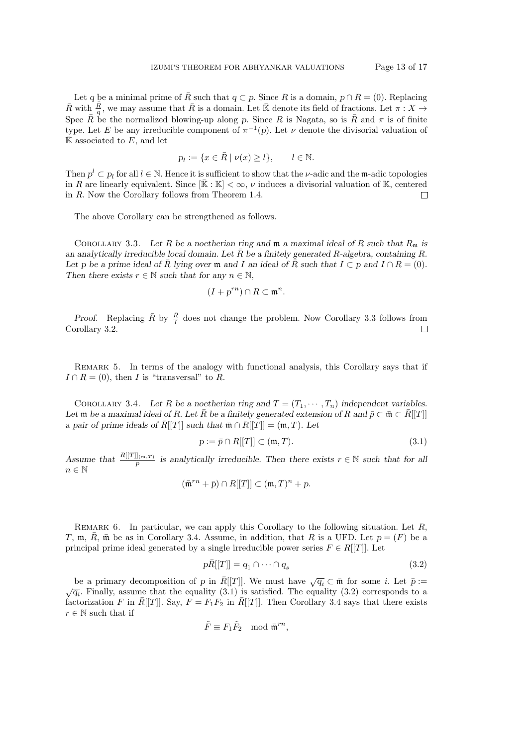Let q be a minimal prime of  $\overline{R}$  such that  $q \subset p$ . Since R is a domain,  $p \cap R = (0)$ . Replacing  $\bar{R}$  with  $\frac{\bar{R}}{q}$ , we may assume that  $\bar{R}$  is a domain. Let  $\bar{\mathbb{K}}$  denote its field of fractions. Let  $\pi: X \to$ Spec  $\bar{R}$  be the normalized blowing-up along p. Since R is Nagata, so is  $\bar{R}$  and  $\pi$  is of finite type. Let E be any irreducible component of  $\pi^{-1}(p)$ . Let  $\nu$  denote the divisorial valuation of  $\overline{\mathbb{K}}$  associated to E, and let

$$
p_l := \{ x \in \overline{R} \mid \nu(x) \ge l \}, \qquad l \in \mathbb{N}.
$$

Then  $p^l \subset p_l$  for all  $l \in \mathbb{N}$ . Hence it is sufficient to show that the *v*-adic and the m-adic topologies in R are linearly equivalent. Since  $[\bar{\mathbb{K}} : \mathbb{K}] < \infty$ ,  $\nu$  induces a divisorial valuation of K, centered in R. Now the Corollary follows from Theorem 1.4.  $\Box$ 

The above Corollary can be strengthened as follows.

COROLLARY 3.3. Let R be a noetherian ring and  $\mathfrak{m}$  a maximal ideal of R such that  $R_{\mathfrak{m}}$  is an analytically irreducible local domain. Let  $\overline{R}$  be a finitely generated R-algebra, containing R. Let p be a prime ideal of R lying over m and I an ideal of R such that  $I \subset p$  and  $I \cap R = (0)$ . Then there exists  $r \in \mathbb{N}$  such that for any  $n \in \mathbb{N}$ ,

$$
(I + p^{rn}) \cap R \subset \mathfrak{m}^n.
$$

*Proof.* Replacing  $\overline{R}$  by  $\frac{\overline{R}}{I}$  does not change the problem. Now Corollary 3.3 follows from Corollary 3.2.  $\Box$ 

Remark 5. In terms of the analogy with functional analysis, this Corollary says that if  $I \cap R = (0)$ , then I is "transversal" to R.

COROLLARY 3.4. Let R be a noetherian ring and  $T = (T_1, \dots, T_n)$  independent variables. Let  $\mathfrak m$  be a maximal ideal of R. Let  $\bar R$  be a finitely generated extension of R and  $\bar p\subset \bar {\mathfrak m}\subset \bar R[[T]]$ a pair of prime ideals of  $\overline{R}[[T]]$  such that  $\overline{\mathfrak{m}} \cap R[[T]] = (\mathfrak{m}, T)$ . Let

$$
p := \bar{p} \cap R[[T]] \subset (\mathfrak{m}, T). \tag{3.1}
$$

Assume that  $\frac{R[[T]]_{(m,T)}}{p}$  is analytically irreducible. Then there exists  $r \in \mathbb{N}$  such that for all  $n \in \mathbb{N}$ 

$$
(\bar{\mathfrak{m}}^{rn} + \bar{p}) \cap R[[T]] \subset (\mathfrak{m}, T)^n + p.
$$

REMARK 6. In particular, we can apply this Corollary to the following situation. Let  $R$ , T, m,  $\overline{R}$ ,  $\overline{m}$  be as in Corollary 3.4. Assume, in addition, that R is a UFD. Let  $p = (F)$  be a principal prime ideal generated by a single irreducible power series  $F \in R[[T]]$ . Let

$$
p\bar{R}[[T]] = q_1 \cap \dots \cap q_s \tag{3.2}
$$

be a primary decomposition of p in  $\overline{R}[[T]]$ . We must have  $\sqrt{q_i} \subset \overline{\mathfrak{m}}$  for some *i*. Let  $\overline{p} := \sqrt{q_i}$ . Finally, assume that the equality (3.1) is satisfied. The equality (3.2) corresponds to a factorization F in  $\bar{R}[[T]]$ . Say,  $F = F_1F_2$  in  $\bar{R}[[T]]$ . Then Corollary 3.4 says that there exists  $r \in \mathbb{N}$  such that if

$$
\tilde{F} \equiv F_1 \tilde{F}_2 \mod \bar{\mathfrak{m}}^{rn},
$$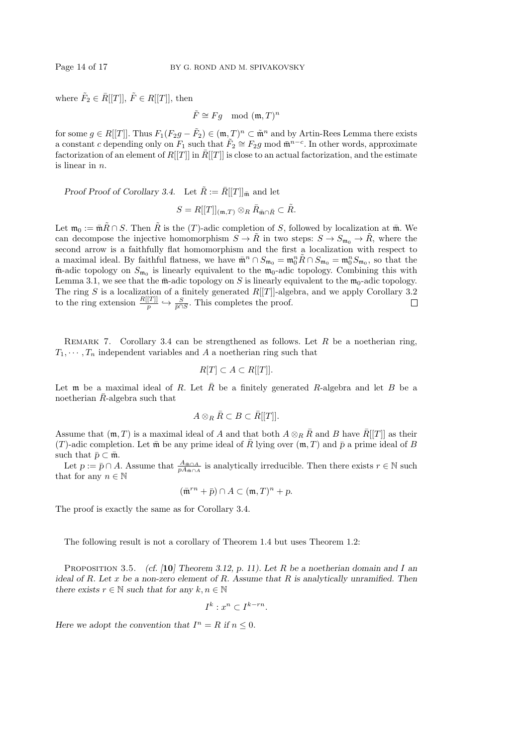where  $\tilde{F}_2 \in \bar{R}[[T]], \tilde{F} \in R[[T]],$  then

 $\tilde{F} \cong Fg \mod(\mathfrak{m}, T)^n$ 

for some  $g \in R[[T]]$ . Thus  $F_1(F_2g - \tilde{F}_2) \in (\mathfrak{m}, T)^n \subset \tilde{\mathfrak{m}}^n$  and by Artin-Rees Lemma there exists a constant c depending only on  $F_1$  such that  $\tilde{F}_2 \cong F_2g$  mod  $\bar{\mathfrak{m}}^{n-c}$ . In other words, approximate factorization of an element of  $R[[T]]$  in  $\overline{R}[[T]]$  is close to an actual factorization, and the estimate is linear in  $n$ .

Proof Proof of Corollary 3.4. Let  $\tilde{R} := \overline{R}[[T]]_{\overline{\mathfrak{m}}}$  and let

$$
S=R[[T]]_{(\mathfrak{m},T)}\otimes_R \bar R_{\bar {\mathfrak m}\cap \bar R}\subset \tilde R.
$$

Let  $\mathfrak{m}_0 := \bar{\mathfrak{m}}\tilde{R} \cap S$ . Then  $\tilde{R}$  is the (T)-adic completion of S, followed by localization at  $\bar{\mathfrak{m}}$ . We can decompose the injective homomorphism  $S \to \tilde{R}$  in two steps:  $S \to S_{\mathfrak{m}_0} \to \tilde{R}$ , where the second arrow is a faithfully flat homomorphism and the first a localization with respect to a maximal ideal. By faithful flatness, we have  $\bar{\mathfrak{m}}^n \cap S_{\mathfrak{m}_0} = \mathfrak{m}_0^n \tilde{R} \cap S_{\mathfrak{m}_0} = \mathfrak{m}_0^n S_{\mathfrak{m}_0}$ , so that the  $\bar{m}$ -adic topology on  $S_{m_0}$  is linearly equivalent to the  $m_0$ -adic topology. Combining this with Lemma 3.1, we see that the  $\bar{m}$ -adic topology on S is linearly equivalent to the  $m_0$ -adic topology. The ring S is a localization of a finitely generated  $R[[T]]$ -algebra, and we apply Corollary 3.2 to the ring extension  $\frac{R[[T]]}{p} \hookrightarrow \frac{S}{\bar{p} \cap S}$ . This completes the proof.  $\Box$ 

REMARK 7. Corollary 3.4 can be strengthened as follows. Let R be a noetherian ring,  $T_1, \dots, T_n$  independent variables and A a noetherian ring such that

$$
R[T] \subset A \subset R[[T]].
$$

Let m be a maximal ideal of R. Let  $\overline{R}$  be a finitely generated R-algebra and let B be a noetherian  $\bar{R}$ -algebra such that

$$
A\otimes_R \bar{R}\subset B\subset \bar{R}[[T]].
$$

Assume that  $(\mathfrak{m}, T)$  is a maximal ideal of A and that both  $A \otimes_R \overline{R}$  and B have  $\overline{R}[[T]]$  as their (T)-adic completion. Let  $\bar{m}$  be any prime ideal of  $\bar{R}$  lying over  $(m, T)$  and  $\bar{p}$  a prime ideal of B such that  $\bar{p} \subset \bar{\mathfrak{m}}$ .

Let  $p := \bar{p} \cap A$ . Assume that  $\frac{A_{\mathfrak{m} \cap A}}{p A_{\mathfrak{m} \cap A}}$  is analytically irreducible. Then there exists  $r \in \mathbb{N}$  such that for any  $n \in \mathbb{N}$ 

$$
(\bar{\mathfrak{m}}^{rn} + \bar{p}) \cap A \subset (\mathfrak{m}, T)^n + p.
$$

The proof is exactly the same as for Corollary 3.4.

The following result is not a corollary of Theorem 1.4 but uses Theorem 1.2:

PROPOSITION 3.5. (cf. [10] Theorem 3.12, p. 11). Let R be a noetherian domain and I an ideal of R. Let x be a non-zero element of R. Assume that R is analytically unramified. Then there exists  $r \in \mathbb{N}$  such that for any  $k, n \in \mathbb{N}$ 

$$
I^k: x^n \subset I^{k-rn}.
$$

Here we adopt the convention that  $I^n = R$  if  $n \leq 0$ .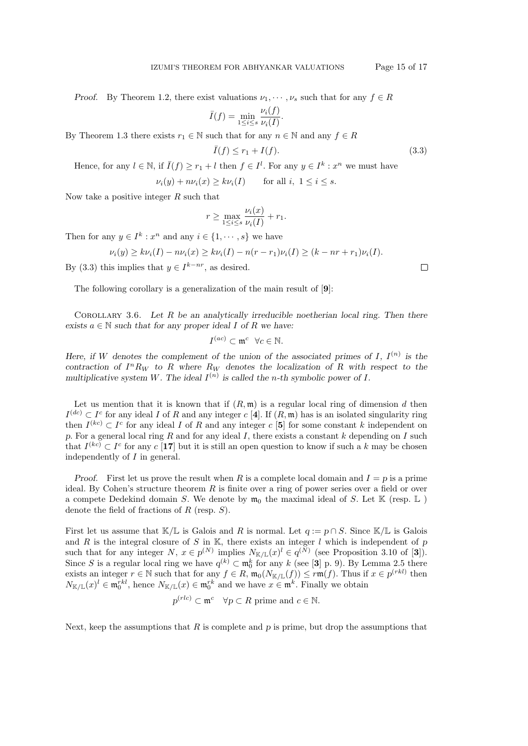Proof. By Theorem 1.2, there exist valuations  $\nu_1, \dots, \nu_s$  such that for any  $f \in R$ 

$$
\bar{I}(f) = \min_{1 \le i \le s} \frac{\nu_i(f)}{\nu_i(I)}.
$$

By Theorem 1.3 there exists  $r_1 \in \mathbb{N}$  such that for any  $n \in \mathbb{N}$  and any  $f \in R$ 

$$
\bar{I}(f) \le r_1 + I(f). \tag{3.3}
$$

Hence, for any  $l \in \mathbb{N}$ , if  $\overline{I}(f) \geq r_1 + l$  then  $f \in I^l$ . For any  $y \in I^k : x^n$  we must have

 $\nu_i(y) + n\nu_i(x) \ge k\nu_i(I)$  for all  $i, 1 \le i \le s$ .

Now take a positive integer  $R$  such that

$$
r \ge \max_{1 \le i \le s} \frac{\nu_i(x)}{\nu_i(I)} + r_1.
$$

Then for any  $y \in I^k : x^n$  and any  $i \in \{1, \dots, s\}$  we have

$$
\nu_i(y) \ge k \nu_i(I) - n \nu_i(x) \ge k \nu_i(I) - n(r - r_1) \nu_i(I) \ge (k - nr + r_1) \nu_i(I).
$$

By (3.3) this implies that  $y \in I^{k-nr}$ , as desired.

The following corollary is a generalization of the main result of [9]:

COROLLARY 3.6. Let  $R$  be an analytically irreducible noetherian local ring. Then there exists  $a \in \mathbb{N}$  such that for any proper ideal I of R we have:

$$
I^{(ac)} \subset \mathfrak{m}^c \ \ \forall c \in \mathbb{N}.
$$

Here, if W denotes the complement of the union of the associated primes of I,  $I^{(n)}$  is the contraction of  $I^n R_W$  to R where  $R_W$  denotes the localization of R with respect to the multiplicative system W. The ideal  $I^{(n)}$  is called the *n*-th symbolic power of I.

Let us mention that it is known that if  $(R, \mathfrak{m})$  is a regular local ring of dimension d then  $I^{(dc)} \subset I^c$  for any ideal I of R and any integer  $c$  [4]. If  $(R, \mathfrak{m})$  has is an isolated singularity ring then  $I^{(kc)} \subset I^c$  for any ideal I of R and any integer c [5] for some constant k independent on p. For a general local ring R and for any ideal I, there exists a constant  $k$  depending on I such that  $I^{(kc)} \subset I^c$  for any c [17] but it is still an open question to know if such a k may be chosen independently of I in general.

*Proof.* First let us prove the result when R is a complete local domain and  $I = p$  is a prime ideal. By Cohen's structure theorem  $R$  is finite over a ring of power series over a field or over a compete Dedekind domain S. We denote by  $\mathfrak{m}_0$  the maximal ideal of S. Let  $\mathbb{K}$  (resp.  $\mathbb{L}$ ) denote the field of fractions of  $R$  (resp.  $S$ ).

First let us assume that K/L is Galois and R is normal. Let  $q := p \cap S$ . Since K/L is Galois and R is the integral closure of S in K, there exists an integer l which is independent of  $p$ such that for any integer  $N, x \in p^{(N)}$  implies  $N_{\mathbb{K}/\mathbb{L}}(x)^{l} \in q^{(N)}$  (see Proposition 3.10 of [3]). Since S is a regular local ring we have  $q^{(k)} \subset \mathfrak{m}_0^k$  for any k (see [3] p. 9). By Lemma 2.5 there exists an integer  $r \in \mathbb{N}$  such that for any  $f \in R$ ,  $\mathfrak{m}_0(N_{\mathbb{K}/\mathbb{L}}(f)) \leq r\mathfrak{m}(f)$ . Thus if  $x \in p^{(rk)}$  then  $N_{\mathbb{K}/\mathbb{L}}(x)^l \in \mathfrak{m}_0^{rkl}$ , hence  $N_{\mathbb{K}/\mathbb{L}}(x) \in \mathfrak{m}_0^{rkl}$  and we have  $x \in \mathfrak{m}^k$ . Finally we obtain

$$
p^{(rlc)} \subset \mathfrak{m}^c \quad \forall p \subset R \text{ prime and } c \in \mathbb{N}.
$$

Next, keep the assumptions that  $R$  is complete and  $p$  is prime, but drop the assumptions that

 $\Box$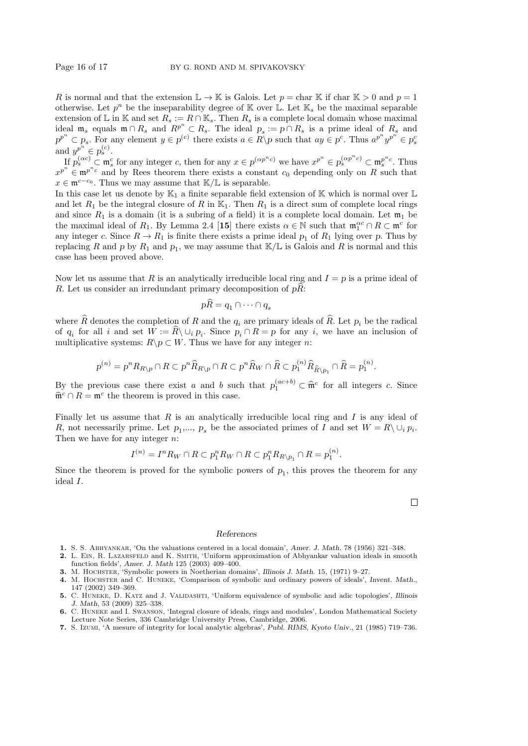R is normal and that the extension  $\mathbb{L} \to \mathbb{K}$  is Galois. Let  $p = \text{char } \mathbb{K}$  if char  $\mathbb{K} > 0$  and  $p = 1$ otherwise. Let  $p^n$  be the inseparability degree of K over L. Let  $\mathbb{K}_s$  be the maximal separable extension of L in K and set  $R_s := R \cap K_s$ . Then  $R_s$  is a complete local domain whose maximal ideal  $\mathfrak{m}_s$  equals  $\mathfrak{m} \cap R_s$  and  $R^{p^n} \subset R_s$ . The ideal  $p_s := p \cap R_s$  is a prime ideal of  $R_s$  and  $p^{p^n} \subset p_s$ . For any element  $y \in p^{(c)}$  there exists  $a \in R \backslash p$  such that  $ay \in p^c$ . Thus  $a^{p^n}y^{p^n} \in p_s^c$ and  $y^{p^n} \in p_s^{(c)}$ .

If  $p_s^{(\alpha c)} \subset \mathfrak{m}_s^c$  for any integer c, then for any  $x \in p^{(\alpha p^n c)}$  we have  $x^{p^n} \in p_s^{(\alpha p^n c)} \subset \mathfrak{m}_s^{p^n c}$ . Thus  $x^{p^n} \in \mathfrak{m}^{p^n c}$  and by Rees theorem there exists a constant  $c_0$  depending only on R such that  $x \in \mathfrak{m}^{c-c_0}$ . Thus we may assume that  $\mathbb{K}/\mathbb{L}$  is separable.

In this case let us denote by  $\mathbb{K}_1$  a finite separable field extension of  $\mathbb{K}$  which is normal over  $\mathbb{L}$ and let  $R_1$  be the integral closure of R in  $\mathbb{K}_1$ . Then  $R_1$  is a direct sum of complete local rings and since  $R_1$  is a domain (it is a subring of a field) it is a complete local domain. Let  $\mathfrak{m}_1$  be the maximal ideal of  $R_1$ . By Lemma 2.4 [15] there exists  $\alpha \in \mathbb{N}$  such that  $\mathfrak{m}_1^{\alpha c} \cap R \subset \mathfrak{m}^c$  for any integer c. Since  $R \to R_1$  is finite there exists a prime ideal  $p_1$  of  $R_1$  lying over p. Thus by replacing R and p by  $R_1$  and  $p_1$ , we may assume that  $\mathbb{K}/\mathbb{L}$  is Galois and R is normal and this case has been proved above.

Now let us assume that R is an analytically irreducible local ring and  $I = p$  is a prime ideal of R. Let us consider an irredundant primary decomposition of  $p\hat{R}$ :

$$
pR = q_1 \cap \cdots \cap q_s
$$

where  $\hat{R}$  denotes the completion of R and the  $q_i$  are primary ideals of  $\hat{R}$ . Let  $p_i$  be the radical of  $q_i$  for all i and set  $W := R \setminus \cup_i p_i$ . Since  $p_i \cap R = p$  for any i, we have an inclusion of multiplicative systems:  $R\backslash p \subset W$ . Thus we have for any integer *n*:

$$
p^{(n)} = p^n R_{R \setminus p} \cap R \subset p^n \widehat{R}_{R \setminus p} \cap R \subset p^n \widehat{R}_W \cap \widehat{R} \subset p_1^{(n)} \widehat{R}_{\widehat{R} \setminus p_1} \cap \widehat{R} = p_1^{(n)}.
$$

By the previous case there exist a and b such that  $p_1^{(ac+b)} \subset \hat{\mathfrak{m}}^c$  for all integers c. Since  $\widehat{\mathfrak{m}}^c \cap R = \mathfrak{m}^c$  the theorem is proved in this case.

Finally let us assume that  $R$  is an analytically irreducible local ring and  $I$  is any ideal of R, not necessarily prime. Let  $p_1,..., p_s$  be the associated primes of I and set  $W = R \setminus \cup_i p_i$ . Then we have for any integer  $n$ :

$$
I^{(n)} = I^n R_W \cap R \subset p_1^n R_W \cap R \subset p_1^n R_{R \setminus p_1} \cap R = p_1^{(n)}.
$$

Since the theorem is proved for the symbolic powers of  $p_1$ , this proves the theorem for any ideal I.

#### References

- 1. S. S. Abhyankar, 'On the valuations centered in a local domain', Amer. J. Math. 78 (1956) 321–348.
- 2. L. Ein, R. Lazarsfeld and K. Smith, 'Uniform approximation of Abhyankar valuation ideals in smooth function fields', Amer. J. Math 125 (2003) 409–400.
- 3. M. Hochster, 'Symbolic powers in Noetherian domains', Illinois J. Math. 15, (1971) 9–27.
- 4. M. Hochster and C. Huneke, 'Comparison of symbolic and ordinary powers of ideals', Invent. Math., 147 (2002) 349–369.
- 5. C. Huneke, D. Katz and J. Validashti, 'Uniform equivalence of symbolic and adic topologies', Illinois J. Math, 53 (2009) 325–338.
- 6. C. Huneke and I. Swanson, 'Integral closure of ideals, rings and modules', London Mathematical Society Lecture Note Series, 336 Cambridge University Press, Cambridge, 2006.
- 7. S. Izumi, 'A mesure of integrity for local analytic algebras', Publ. RIMS, Kyoto Univ., 21 (1985) 719–736.

 $\Box$